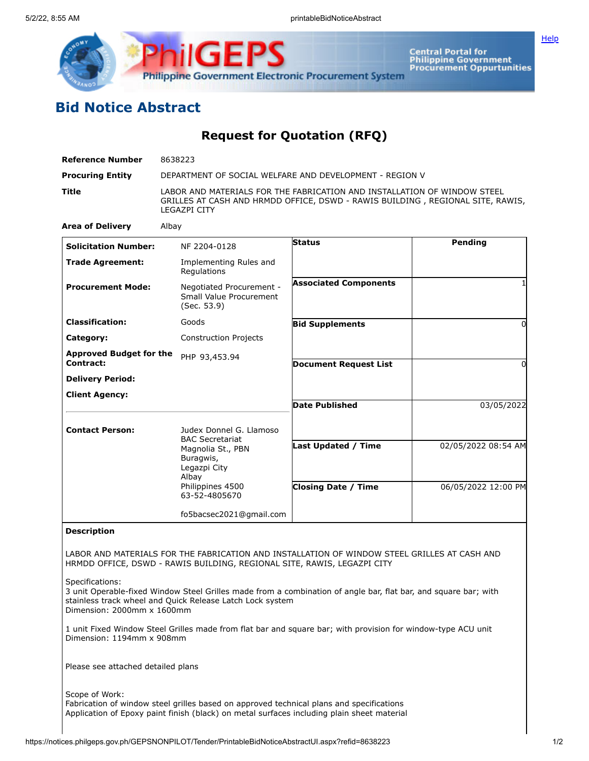

**ilGEPS Central Portal for<br>Philippine Government<br>Procurement Oppurtunities Philippine Government Electronic Procurement System** 

## **Bid Notice Abstract**

**Request for Quotation (RFQ)**

| <b>Reference Number</b>                       | 8638223                                                                                                                                                                           |                              |                                            |
|-----------------------------------------------|-----------------------------------------------------------------------------------------------------------------------------------------------------------------------------------|------------------------------|--------------------------------------------|
| <b>Procuring Entity</b>                       | DEPARTMENT OF SOCIAL WELFARE AND DEVELOPMENT - REGION V                                                                                                                           |                              |                                            |
| Title                                         | LABOR AND MATERIALS FOR THE FABRICATION AND INSTALLATION OF WINDOW STEEL<br>GRILLES AT CASH AND HRMDD OFFICE, DSWD - RAWIS BUILDING, REGIONAL SITE, RAWIS,<br><b>LEGAZPI CITY</b> |                              |                                            |
| <b>Area of Delivery</b>                       | Albay                                                                                                                                                                             |                              |                                            |
| <b>Solicitation Number:</b>                   | NF 2204-0128                                                                                                                                                                      | <b>Status</b>                | Pending                                    |
| <b>Trade Agreement:</b>                       | Implementing Rules and<br>Regulations                                                                                                                                             |                              |                                            |
| <b>Procurement Mode:</b>                      | Negotiated Procurement -<br>Small Value Procurement<br>(Sec. 53.9)                                                                                                                | <b>Associated Components</b> |                                            |
| <b>Classification:</b>                        | Goods                                                                                                                                                                             | <b>Bid Supplements</b>       | 0                                          |
| Category:                                     | <b>Construction Projects</b>                                                                                                                                                      |                              |                                            |
| Approved Budget for the<br>Contract:          | PHP 93,453.94                                                                                                                                                                     | <b>Document Request List</b> | 0                                          |
| <b>Delivery Period:</b>                       |                                                                                                                                                                                   |                              |                                            |
| <b>Client Agency:</b>                         |                                                                                                                                                                                   | <b>Date Published</b>        | 03/05/2022                                 |
| <b>Contact Person:</b>                        | Judex Donnel G. Llamoso<br><b>BAC Secretariat</b><br>Magnolia St., PBN<br>Buragwis,<br>Legazpi City<br>Albay<br>Philippines 4500<br>63-52-4805670                                 | Last Updated / Time          | 02/05/2022 08:54 AM<br>06/05/2022 12:00 PM |
|                                               |                                                                                                                                                                                   | <b>Closing Date / Time</b>   |                                            |
|                                               | fo5bacsec2021@gmail.com                                                                                                                                                           |                              |                                            |
| <b>Description</b>                            |                                                                                                                                                                                   |                              |                                            |
|                                               | LABOR AND MATERIALS FOR THE FABRICATION AND INSTALLATION OF WINDOW STEEL GRILLES AT CASH AND<br>HRMDD OFFICE, DSWD - RAWIS BUILDING, REGIONAL SITE, RAWIS, LEGAZPI CITY           |                              |                                            |
| Specifications:<br>Dimension: 2000mm x 1600mm | 3 unit Operable-fixed Window Steel Grilles made from a combination of angle bar, flat bar, and square bar; with<br>stainless track wheel and Quick Release Latch Lock system      |                              |                                            |
| Dimension: 1194mm x 908mm                     | 1 unit Fixed Window Steel Grilles made from flat bar and square bar; with provision for window-type ACU unit                                                                      |                              |                                            |
| Please see attached detailed plans            |                                                                                                                                                                                   |                              |                                            |
| Scope of Work:                                |                                                                                                                                                                                   |                              |                                            |

Fabrication of window steel grilles based on approved technical plans and specifications Application of Epoxy paint finish (black) on metal surfaces including plain sheet material